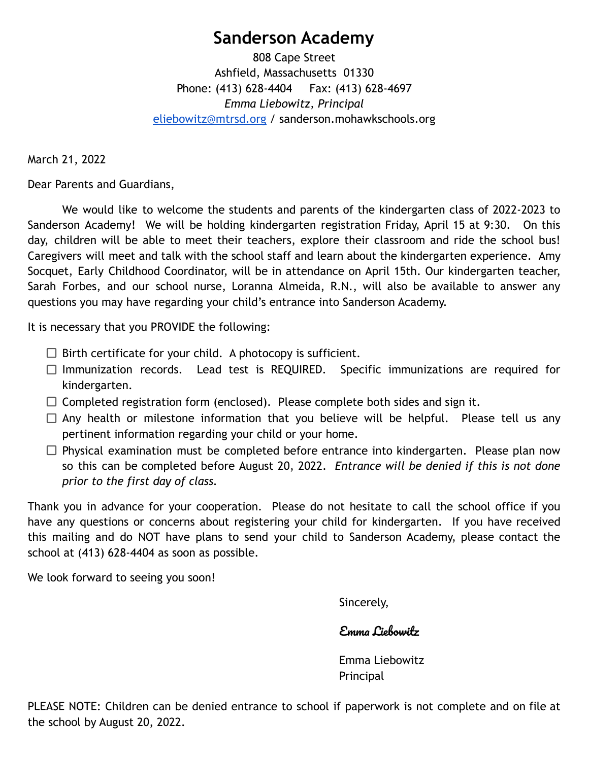# **Sanderson Academy**

808 Cape Street Ashfield, Massachusetts 01330 Phone: (413) 628-4404 Fax: (413) 628-4697 *Emma Liebowitz, Principal* [eliebowitz@mtrsd.org](mailto:eliebowitz@mtrsd.org) / sanderson.mohawkschools.org

March 21, 2022

Dear Parents and Guardians,

We would like to welcome the students and parents of the kindergarten class of 2022-2023 to Sanderson Academy! We will be holding kindergarten registration Friday, April 15 at 9:30. On this day, children will be able to meet their teachers, explore their classroom and ride the school bus! Caregivers will meet and talk with the school staff and learn about the kindergarten experience. Amy Socquet, Early Childhood Coordinator, will be in attendance on April 15th. Our kindergarten teacher, Sarah Forbes, and our school nurse, Loranna Almeida, R.N., will also be available to answer any questions you may have regarding your child's entrance into Sanderson Academy.

It is necessary that you PROVIDE the following:

- $\Box$  Birth certificate for your child. A photocopy is sufficient.
- $\Box$  Immunization records. Lead test is REQUIRED. Specific immunizations are required for kindergarten.
- $\Box$  Completed registration form (enclosed). Please complete both sides and sign it.
- $\Box$  Any health or milestone information that you believe will be helpful. Please tell us any pertinent information regarding your child or your home.
- $\Box$  Physical examination must be completed before entrance into kindergarten. Please plan now so this can be completed before August 20, 2022. *Entrance will be denied if this is not done prior to the first day of class.*

Thank you in advance for your cooperation. Please do not hesitate to call the school office if you have any questions or concerns about registering your child for kindergarten. If you have received this mailing and do NOT have plans to send your child to Sanderson Academy, please contact the school at (413) 628-4404 as soon as possible.

We look forward to seeing you soon!

Sincerely,

# Emma Liebowitz

Emma Liebowitz Principal

PLEASE NOTE: Children can be denied entrance to school if paperwork is not complete and on file at the school by August 20, 2022.